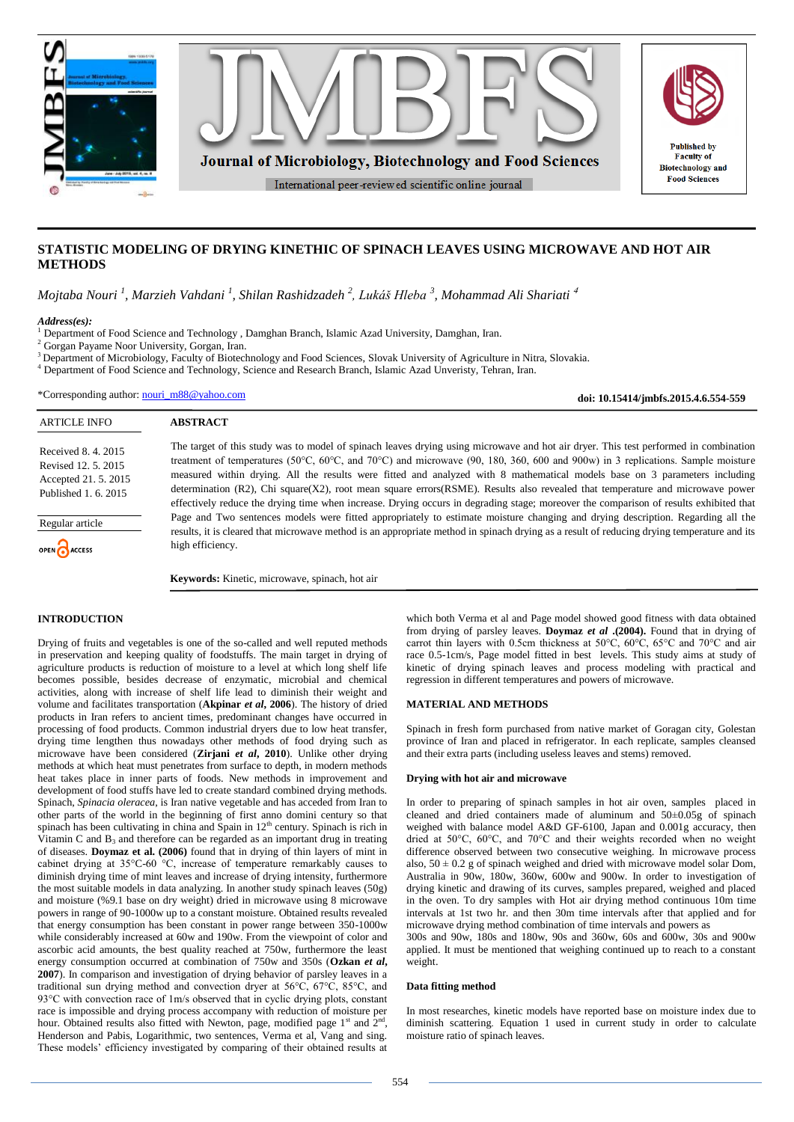

# **STATISTIC MODELING OF DRYING KINETHIC OF SPINACH LEAVES USING MICROWAVE AND HOT AIR METHODS**

*Mojtaba Nouri <sup>1</sup> , Marzieh Vahdani <sup>1</sup> , Shilan Rashidzadeh <sup>2</sup> , Lukáš Hleba <sup>3</sup> , Mohammad Ali Shariati* <sup>4</sup>

### *Address(es):*

<sup>1</sup> Department of Food Science and Technology , Damghan Branch, Islamic Azad University, Damghan, Iran.

<sup>2</sup> Gorgan Payame Noor University, Gorgan, Iran.

<sup>3</sup> Department of Microbiology, Faculty of Biotechnology and Food Sciences, Slovak University of Agriculture in Nitra, Slovakia.

<sup>4</sup> Department of Food Science and Technology, Science and Research Branch, Islamic Azad Unveristy, Tehran, Iran.

\*Corresponding author: [nouri\\_m88@yahoo.com](mailto:nouri_m88@yahoo.com)

**doi: 10.15414/jmbfs.2015.4.6.554-559**

| <b>ARTICLE INFO</b>                                                                        | <b>ABSTRACT</b>                                                                                                                                                                                                                                                                                                                                                                                                                                                                                                                                                                                                                                                                           |
|--------------------------------------------------------------------------------------------|-------------------------------------------------------------------------------------------------------------------------------------------------------------------------------------------------------------------------------------------------------------------------------------------------------------------------------------------------------------------------------------------------------------------------------------------------------------------------------------------------------------------------------------------------------------------------------------------------------------------------------------------------------------------------------------------|
| Received 8, 4, 2015<br>Revised 12, 5, 2015<br>Accepted 21, 5, 2015<br>Published 1, 6, 2015 | The target of this study was to model of spinach leaves drying using microwave and hot air dryer. This test performed in combination<br>treatment of temperatures (50°C, 60°C, and 70°C) and microwave (90, 180, 360, 600 and 900w) in 3 replications. Sample moisture<br>measured within drying. All the results were fitted and analyzed with 8 mathematical models base on 3 parameters including<br>determination $(R2)$ , Chi square $(X2)$ , root mean square errors $(RSME)$ . Results also revealed that temperature and microwave power<br>effectively reduce the drying time when increase. Drying occurs in degrading stage; moreover the comparison of results exhibited that |
| Regular article                                                                            | Page and Two sentences models were fitted appropriately to estimate moisture changing and drying description. Regarding all the<br>results, it is cleared that microwave method is an appropriate method in spinach drying as a result of reducing drying temperature and its                                                                                                                                                                                                                                                                                                                                                                                                             |
| OPEN CACCESS                                                                               | high efficiency.                                                                                                                                                                                                                                                                                                                                                                                                                                                                                                                                                                                                                                                                          |
|                                                                                            | <b>Keywords:</b> Kinetic, microwave, spinach, hot air                                                                                                                                                                                                                                                                                                                                                                                                                                                                                                                                                                                                                                     |

# **INTRODUCTION**

Drying of fruits and vegetables is one of the so-called and well reputed methods in preservation and keeping quality of foodstuffs. The main target in drying of agriculture products is reduction of moisture to a level at which long shelf life becomes possible, besides decrease of enzymatic, microbial and chemical activities, along with increase of shelf life lead to diminish their weight and volume and facilitates transportation (**Akpinar** *et al***, 2006**). The history of dried products in Iran refers to ancient times, predominant changes have occurred in processing of food products. Common industrial dryers due to low heat transfer, drying time lengthen thus nowadays other methods of food drying such as microwave have been considered (**Zirjani** *et al***, 2010**). Unlike other drying methods at which heat must penetrates from surface to depth, in modern methods heat takes place in inner parts of foods. New methods in improvement and development of food stuffs have led to create standard combined drying methods. Spinach, *Spinacia oleracea*, is Iran native vegetable and has acceded from Iran to other parts of the world in the beginning of first anno domini century so that spinach has been cultivating in china and Spain in  $12<sup>th</sup>$  century. Spinach is rich in Vitamin C and B<sup>3</sup> and therefore can be regarded as an important drug in treating of diseases. **Doymaz et al. (2006)** found that in drying of thin layers of mint in cabinet drying at 35°C-60 °C, increase of temperature remarkably causes to diminish drying time of mint leaves and increase of drying intensity, furthermore the most suitable models in data analyzing. In another study spinach leaves (50g) and moisture (%9.1 base on dry weight) dried in microwave using 8 microwave powers in range of 90-1000w up to a constant moisture. Obtained results revealed that energy consumption has been constant in power range between 350-1000w while considerably increased at 60w and 190w. From the viewpoint of color and ascorbic acid amounts, the best quality reached at 750w, furthermore the least energy consumption occurred at combination of 750w and 350s (**Ozkan** *et al***, 2007**). In comparison and investigation of drying behavior of parsley leaves in a traditional sun drying method and convection dryer at 56°C, 67°C, 85°C, and 93°C with convection race of 1m/s observed that in cyclic drying plots, constant race is impossible and drying process accompany with reduction of moisture per hour. Obtained results also fitted with Newton, page, modified page  $1<sup>st</sup>$  and  $2<sup>nd</sup>$ , Henderson and Pabis, Logarithmic, two sentences, Verma et al, Vang and sing. These models' efficiency investigated by comparing of their obtained results at

which both Verma et al and Page model showed good fitness with data obtained from drying of parsley leaves. **Doymaz** *et al* **.(2004).** Found that in drying of carrot thin layers with 0.5cm thickness at 50°C, 60°C, 65°C and 70°C and air race 0.5-1cm/s, Page model fitted in best levels. This study aims at study of kinetic of drying spinach leaves and process modeling with practical and regression in different temperatures and powers of microwave.

# **MATERIAL AND METHODS**

Spinach in fresh form purchased from native market of Goragan city, Golestan province of Iran and placed in refrigerator. In each replicate, samples cleansed and their extra parts (including useless leaves and stems) removed.

### **Drying with hot air and microwave**

In order to preparing of spinach samples in hot air oven, samples placed in cleaned and dried containers made of aluminum and 50±0.05g of spinach weighed with balance model A&D GF-6100, Japan and 0.001g accuracy, then dried at 50°C, 60°C, and 70°C and their weights recorded when no weight difference observed between two consecutive weighing. In microwave process also,  $50 \pm 0.2$  g of spinach weighed and dried with microwave model solar Dom, Australia in 90w, 180w, 360w, 600w and 900w. In order to investigation of drying kinetic and drawing of its curves, samples prepared, weighed and placed in the oven. To dry samples with Hot air drying method continuous 10m time intervals at 1st two hr. and then 30m time intervals after that applied and for microwave drying method combination of time intervals and powers as

300s and 90w, 180s and 180w, 90s and 360w, 60s and 600w, 30s and 900w applied. It must be mentioned that weighing continued up to reach to a constant weight.

### **Data fitting method**

In most researches, kinetic models have reported base on moisture index due to diminish scattering. Equation 1 used in current study in order to calculate moisture ratio of spinach leaves.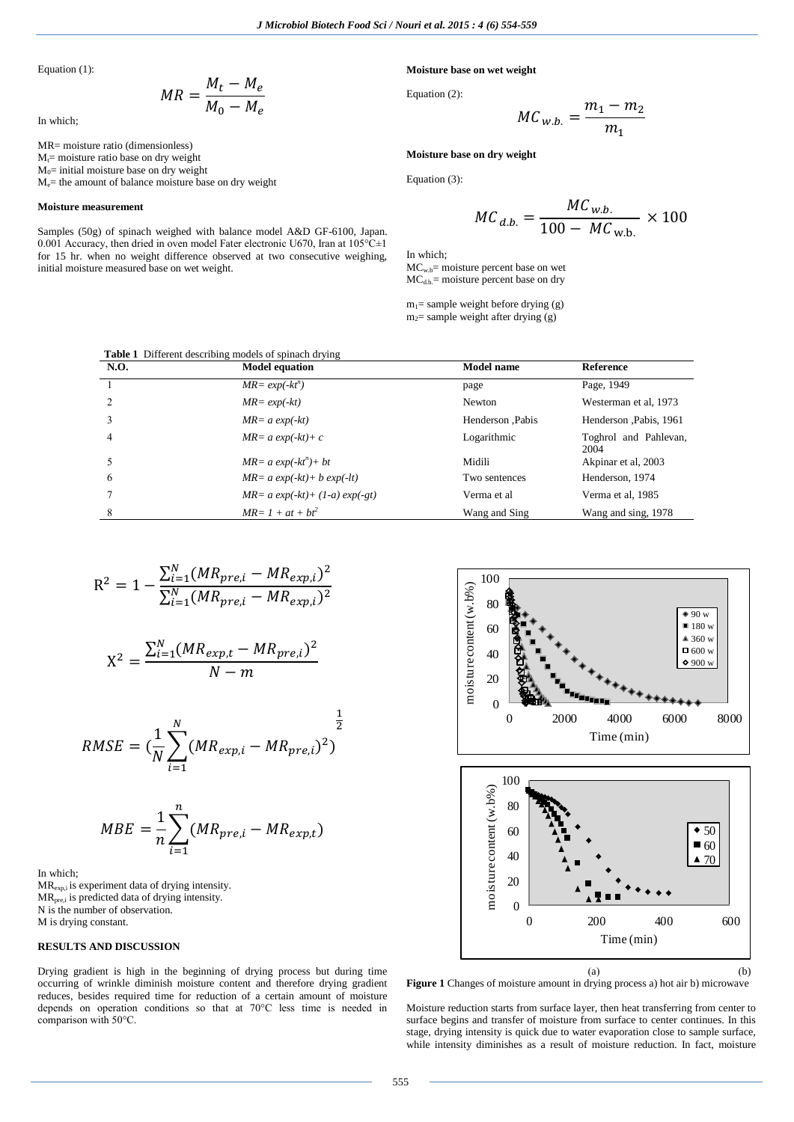Equation (1):

$$
MR = \frac{M_t - M_e}{M_0 - M_e}
$$

In which;

MR= moisture ratio (dimensionless)  $M<sub>t</sub>=$  moisture ratio base on dry weight

 $M<sub>0</sub>=$  initial moisture base on dry weight Me= the amount of balance moisture base on dry weight

#### **Moisture measurement**

Samples (50g) of spinach weighed with balance model A&D GF-6100, Japan. 0.001 Accuracy, then dried in oven model Fater electronic U670, Iran at  $105^{\circ}$ C $\pm$ 1 for 15 hr. when no weight difference observed at two consecutive weighing, initial moisture measured base on wet weight.

## **Moisture base on wet weight**

Equation (2):

$$
MC_{w.b.} = \frac{m_1 - m_2}{m_1}
$$

### **Moisture base on dry weight**

Equation (3):

$$
MC_{d.b.} = \frac{MC_{w.b.}}{100 - MC_{w.b.}} \times 100
$$

In which; MC<sub>w.b</sub>= moisture percent base on wet  $MC<sub>d.b</sub>$  = moisture percent base on dry

 $m_1$ = sample weight before drying (g)  $m<sub>2</sub>=$  sample weight after drying (g)

|      | <b>Table 1</b> Different describing models of spinach drying |                   |                               |
|------|--------------------------------------------------------------|-------------------|-------------------------------|
| N.O. | <b>Model equation</b>                                        | <b>Model name</b> | <b>Reference</b>              |
|      | $MR = exp(-kt^n)$                                            | page              | Page, 1949                    |
|      | $MR = exp(-kt)$                                              | Newton            | Westerman et al, 1973         |
|      | $MR = a \exp(-kt)$                                           | Henderson Pabis   | Henderson , Pabis, 1961       |
| 4    | $MR = a \exp(-kt) + c$                                       | Logarithmic       | Toghrol and Pahlevan,<br>2004 |
|      | $MR = a \exp(-kt^n) + bt$                                    | Midili            | Akpinar et al, 2003           |
| 6    | $MR = a \exp(-kt) + b \exp(-lt)$                             | Two sentences     | Henderson, 1974               |
|      | $MR = a \exp(-kt) + (1-a) \exp(-gt)$                         | Verma et al       | Verma et al, 1985             |
| 8    | $MR = 1 + at + bt^2$                                         | Wang and Sing     | Wang and sing, 1978           |

$$
R^{2} = 1 - \frac{\sum_{i=1}^{N} (MR_{pre,i} - MR_{exp,i})^{2}}{\sum_{i=1}^{N} (MR_{pre,i} - MR_{exp,i})^{2}}
$$

$$
X^2 = \frac{\sum_{i=1}^{N} (MR_{exp,t} - MR_{pre,t})^2}{N-m}
$$

$$
RMSE = (\frac{1}{N}\sum_{i=1}^{N}(MR_{exp,i}-MR_{pre,i})^2)
$$

$$
MBE = \frac{1}{n} \sum_{i=1}^{n} (MR_{pre,i} - MR_{exp,t})
$$

In which; MRexp,i is experiment data of drying intensity.  $MR<sub>pre.i</sub>$  is predicted data of drying intensity. N is the number of observation. M is drying constant.

## **RESULTS AND DISCUSSION**

Drying gradient is high in the beginning of drying process but during time occurring of wrinkle diminish moisture content and therefore drying gradient reduces, besides required time for reduction of a certain amount of moisture depends on operation conditions so that at 70°C less time is needed in comparison with 50°C.



**Figure 1** Changes of moisture amount in drying process a) hot air b) microwave

Moisture reduction starts from surface layer, then heat transferring from center to surface begins and transfer of moisture from surface to center continues. In this stage, drying intensity is quick due to water evaporation close to sample surface, while intensity diminishes as a result of moisture reduction. In fact, moisture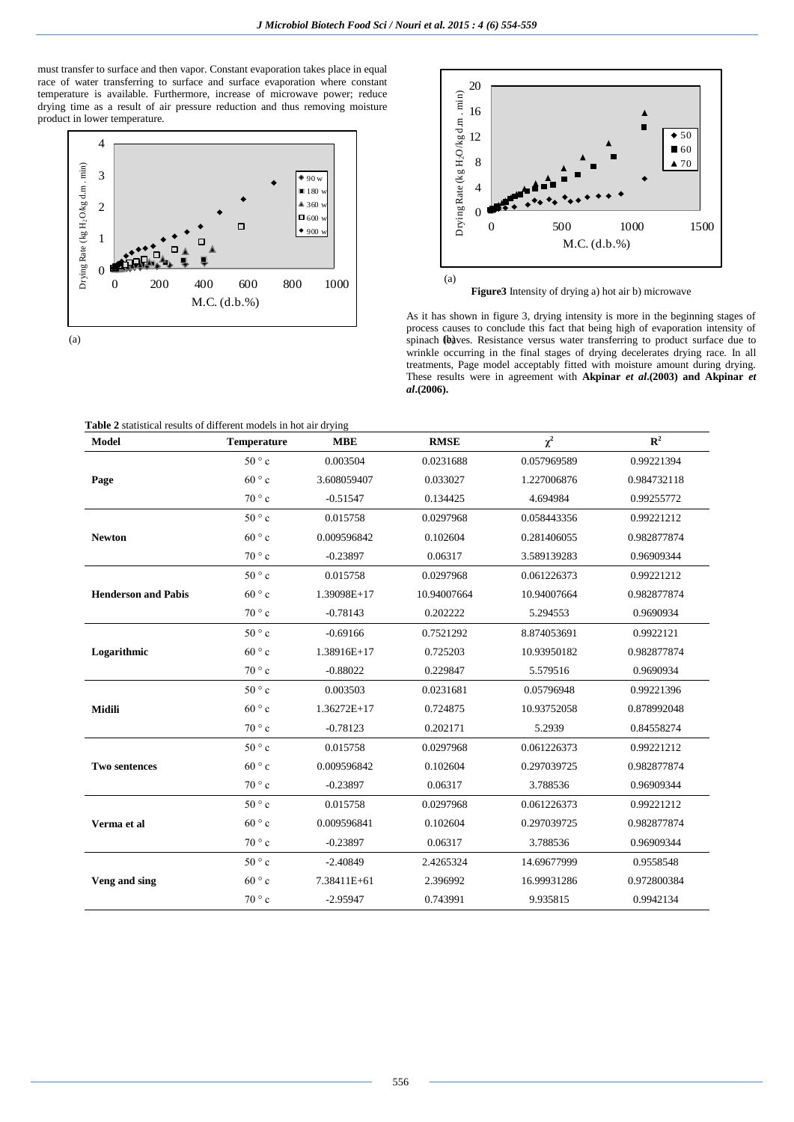must transfer to surface and then vapor. Constant evaporation takes place in equal race of water transferring to surface and surface evaporation where constant temperature is available. Furthermore, increase of microwave power; reduce drying time as a result of air pressure reduction and thus removing moisture product in lower temperature.





**Figure3** Intensity of drying a) hot air b) microwave

(a) spinach (baves. Resistance versus water transferring to product surface due to As it has shown in figure 3, drying intensity is more in the beginning stages of process causes to conclude this fact that being high of evaporation intensity of wrinkle occurring in the final stages of drying decelerates drying race. In all treatments, Page model acceptably fitted with moisture amount during drying. These results were in agreement with **Akpinar** *et al***.(2003) and Akpinar** *et al***.(2006).**

| Table 2 statistical results of different models in hot air drying |
|-------------------------------------------------------------------|
|-------------------------------------------------------------------|

| <b>Model</b>               | <b>Temperature</b> | <b>MBE</b>  | <b>RMSE</b> | $\chi^2$    | ${\bf R}^2$ |
|----------------------------|--------------------|-------------|-------------|-------------|-------------|
|                            | $50^{\circ}$ c     | 0.003504    | 0.0231688   | 0.057969589 | 0.99221394  |
| Page                       | $60^{\circ}$ c     | 3.608059407 | 0.033027    | 1.227006876 | 0.984732118 |
|                            | $70^{\circ}$ c     | $-0.51547$  | 0.134425    | 4.694984    | 0.99255772  |
|                            | $50^{\circ}$ c     | 0.015758    | 0.0297968   | 0.058443356 | 0.99221212  |
| <b>Newton</b>              | $60^{\circ}$ c     | 0.009596842 | 0.102604    | 0.281406055 | 0.982877874 |
|                            | $70 \degree c$     | $-0.23897$  | 0.06317     | 3.589139283 | 0.96909344  |
|                            | $50^{\circ}$ c     | 0.015758    | 0.0297968   | 0.061226373 | 0.99221212  |
| <b>Henderson and Pabis</b> | $60^{\circ}$ c     | 1.39098E+17 | 10.94007664 | 10.94007664 | 0.982877874 |
|                            | $70^{\circ}$ c     | $-0.78143$  | 0.202222    | 5.294553    | 0.9690934   |
|                            | 50°c               | $-0.69166$  | 0.7521292   | 8.874053691 | 0.9922121   |
| Logarithmic                | $60^{\circ}$ c     | 1.38916E+17 | 0.725203    | 10.93950182 | 0.982877874 |
|                            | $70^{\circ}$ c     | $-0.88022$  | 0.229847    | 5.579516    | 0.9690934   |
|                            | $50^{\circ}$ c     | 0.003503    | 0.0231681   | 0.05796948  | 0.99221396  |
| <b>Midili</b>              | $60^{\circ}$ c     | 1.36272E+17 | 0.724875    | 10.93752058 | 0.878992048 |
|                            | $70^{\circ}$ c     | $-0.78123$  | 0.202171    | 5.2939      | 0.84558274  |
|                            | $50^{\circ}$ c     | 0.015758    | 0.0297968   | 0.061226373 | 0.99221212  |
| <b>Two sentences</b>       | $60^{\circ}$ c     | 0.009596842 | 0.102604    | 0.297039725 | 0.982877874 |
|                            | $70^{\circ}$ c     | $-0.23897$  | 0.06317     | 3.788536    | 0.96909344  |
|                            | $50^{\circ}$ c     | 0.015758    | 0.0297968   | 0.061226373 | 0.99221212  |
| Verma et al                | $60^{\circ}$ c     | 0.009596841 | 0.102604    | 0.297039725 | 0.982877874 |
|                            | $70^{\circ}$ c     | $-0.23897$  | 0.06317     | 3.788536    | 0.96909344  |
|                            | $50^{\circ}$ c     | $-2.40849$  | 2.4265324   | 14.69677999 | 0.9558548   |
| Veng and sing              | $60^{\circ}$ c     | 7.38411E+61 | 2.396992    | 16.99931286 | 0.972800384 |
|                            | $70^{\circ}$ c     | $-2.95947$  | 0.743991    | 9.935815    | 0.9942134   |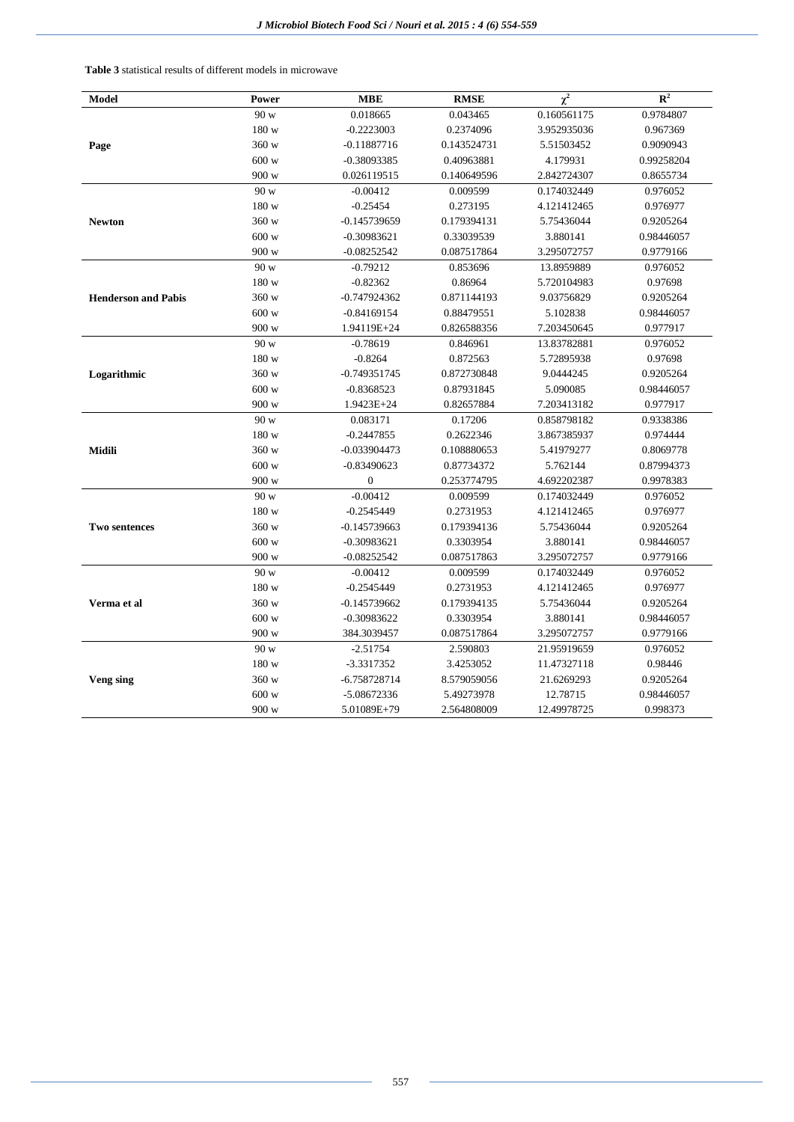**Table 3** statistical results of different models in microwave

| <b>Model</b>               | Power   | <b>MBE</b>       | <b>RMSE</b> | $\overline{\chi^2}$ | $\mathbb{R}^2$ |  |
|----------------------------|---------|------------------|-------------|---------------------|----------------|--|
|                            | 90 w    | 0.018665         | 0.043465    | 0.160561175         | 0.9784807      |  |
|                            | 180 w   | $-0.2223003$     | 0.2374096   | 3.952935036         | 0.967369       |  |
| Page                       | 360 w   | $-0.11887716$    | 0.143524731 | 5.51503452          | 0.9090943      |  |
|                            | 600 w   | $-0.38093385$    | 0.40963881  | 4.179931            | 0.99258204     |  |
|                            | 900 w   | 0.026119515      | 0.140649596 | 2.842724307         | 0.8655734      |  |
|                            | 90 w    | $-0.00412$       | 0.009599    | 0.174032449         | 0.976052       |  |
|                            | 180 w   | $-0.25454$       | 0.273195    | 4.121412465         | 0.976977       |  |
| <b>Newton</b>              | 360 w   | -0.145739659     | 0.179394131 | 5.75436044          | 0.9205264      |  |
|                            | 600 w   | $-0.30983621$    | 0.33039539  | 3.880141            | 0.98446057     |  |
|                            | 900 w   | $-0.08252542$    | 0.087517864 | 3.295072757         | 0.9779166      |  |
|                            | 90 w    | $-0.79212$       | 0.853696    | 13.8959889          | 0.976052       |  |
|                            | 180 w   | $-0.82362$       | 0.86964     | 5.720104983         | 0.97698        |  |
| <b>Henderson and Pabis</b> | 360 w   | $-0.747924362$   | 0.871144193 | 9.03756829          | 0.9205264      |  |
|                            | 600 w   | $-0.84169154$    | 0.88479551  | 5.102838            | 0.98446057     |  |
|                            | 900 w   | 1.94119E+24      | 0.826588356 | 7.203450645         | 0.977917       |  |
|                            | 90 w    | $-0.78619$       | 0.846961    | 13.83782881         | 0.976052       |  |
|                            | 180 w   | $-0.8264$        | 0.872563    | 5.72895938          | 0.97698        |  |
| Logarithmic                | 360 w   | -0.749351745     | 0.872730848 | 9.0444245           | 0.9205264      |  |
|                            | 600 w   | $-0.8368523$     | 0.87931845  | 5.090085            | 0.98446057     |  |
|                            | 900 w   | 1.9423E+24       | 0.82657884  | 7.203413182         | 0.977917       |  |
|                            | 90 w    | 0.083171         | 0.17206     | 0.858798182         | 0.9338386      |  |
|                            | 180 w   | $-0.2447855$     | 0.2622346   | 3.867385937         | 0.974444       |  |
| Midili                     | 360 w   | -0.033904473     | 0.108880653 | 5.41979277          | 0.8069778      |  |
|                            | 600 w   | $-0.83490623$    | 0.87734372  | 5.762144            | 0.87994373     |  |
|                            | 900 w   | $\boldsymbol{0}$ | 0.253774795 | 4.692202387         | 0.9978383      |  |
|                            | 90 w    | $-0.00412$       | 0.009599    | 0.174032449         | 0.976052       |  |
|                            | 180 w   | $-0.2545449$     | 0.2731953   | 4.121412465         | 0.976977       |  |
| <b>Two sentences</b>       | 360 w   | $-0.145739663$   | 0.179394136 | 5.75436044          | 0.9205264      |  |
|                            | 600 w   | $-0.30983621$    | 0.3303954   | 3.880141            | 0.98446057     |  |
|                            | 900 w   | $-0.08252542$    | 0.087517863 | 3.295072757         | 0.9779166      |  |
|                            | $90\le$ | $-0.00412$       | 0.009599    | 0.174032449         | 0.976052       |  |
|                            | 180 w   | $-0.2545449$     | 0.2731953   | 4.121412465         | 0.976977       |  |
| Verma et al                | 360 w   | $-0.145739662$   | 0.179394135 | 5.75436044          | 0.9205264      |  |
|                            | 600 w   | $-0.30983622$    | 0.3303954   | 3.880141            | 0.98446057     |  |
|                            | 900 w   | 384.3039457      | 0.087517864 | 3.295072757         | 0.9779166      |  |
|                            | 90 w    | $-2.51754$       | 2.590803    | 21.95919659         | 0.976052       |  |
|                            | 180 w   | $-3.3317352$     | 3.4253052   | 11.47327118         | 0.98446        |  |
| Veng sing                  | 360 w   | -6.758728714     | 8.579059056 | 21.6269293          | 0.9205264      |  |
|                            | 600 w   | -5.08672336      | 5.49273978  | 12.78715            | 0.98446057     |  |
|                            | 900 w   | 5.01089E+79      | 2.564808009 | 12.49978725         | 0.998373       |  |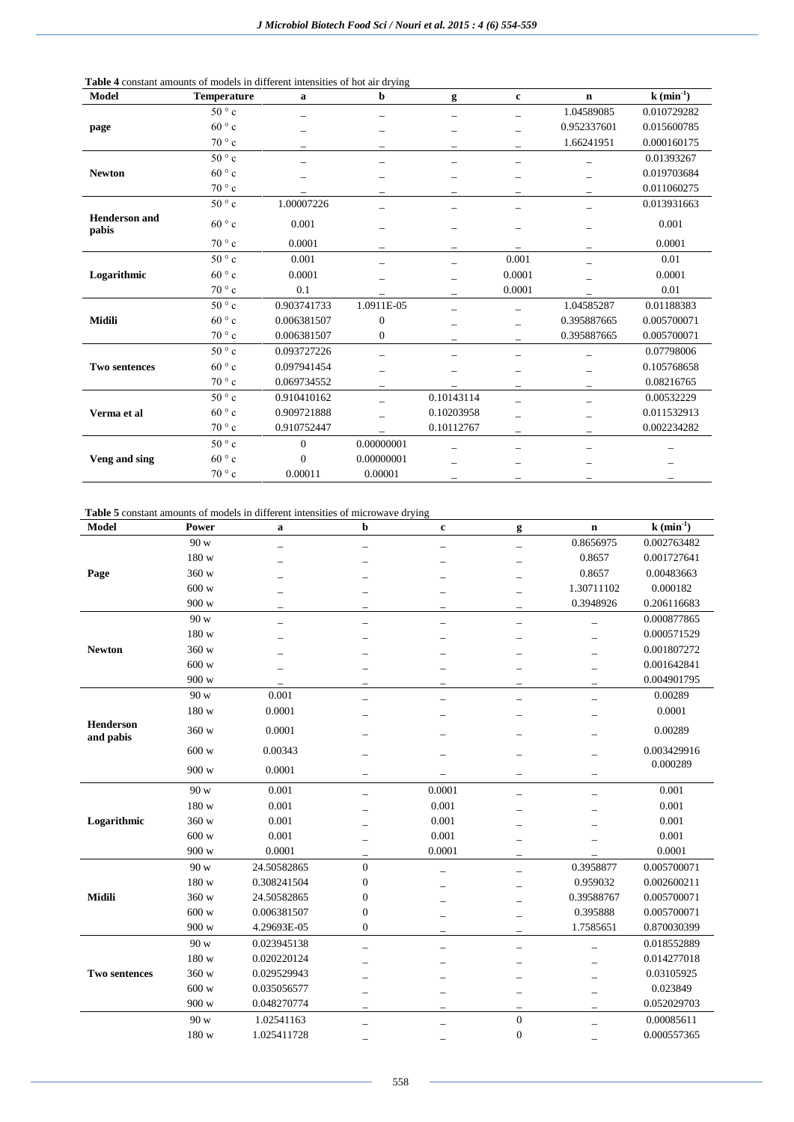| Table 4 constant amounts of models in different intensities of hot air drying |  |  |
|-------------------------------------------------------------------------------|--|--|
|-------------------------------------------------------------------------------|--|--|

| Model                         | Temperature    | a              | b            | g          | $\mathbf c$       | $\mathbf n$ | $k \left( \min^{-1} \right)$ |
|-------------------------------|----------------|----------------|--------------|------------|-------------------|-------------|------------------------------|
|                               | $50^{\circ}$ c |                |              |            |                   | 1.04589085  | 0.010729282                  |
| page                          | 60°c           |                |              |            |                   | 0.952337601 | 0.015600785                  |
|                               | $70^{\circ}$ c |                |              |            |                   | 1.66241951  | 0.000160175                  |
|                               | $50^{\circ}$ c |                |              |            |                   |             | 0.01393267                   |
| <b>Newton</b>                 | $60^{\circ}$ c |                |              |            |                   |             | 0.019703684                  |
|                               | $70^{\circ}$ c |                |              |            |                   |             | 0.011060275                  |
|                               | $50^{\circ}$ c | 1.00007226     |              |            |                   |             | 0.013931663                  |
| <b>Henderson</b> and<br>pabis | $60^{\circ}$ c | 0.001          |              | -          |                   |             | 0.001                        |
|                               | $70^{\circ}$ c | 0.0001         |              |            |                   |             | 0.0001                       |
|                               | $50^{\circ}$ c | 0.001          |              |            | 0.001             |             | 0.01                         |
| Logarithmic                   | $60^{\circ}$ c | 0.0001         |              |            | 0.0001            |             | 0.0001                       |
|                               | $70^{\circ}$ c | 0.1            |              |            | 0.0001            |             | 0.01                         |
|                               | $50^{\circ}$ c | 0.903741733    | 1.0911E-05   |            |                   | 1.04585287  | 0.01188383                   |
| <b>Midili</b>                 | $60^{\circ}$ c | 0.006381507    | $\mathbf{0}$ |            |                   | 0.395887665 | 0.005700071                  |
|                               | $70^{\circ}$ c | 0.006381507    | $\mathbf{0}$ |            |                   | 0.395887665 | 0.005700071                  |
|                               | $50^{\circ}$ c | 0.093727226    |              |            |                   |             | 0.07798006                   |
| <b>Two sentences</b>          | $60^{\circ}$ c | 0.097941454    |              |            |                   |             | 0.105768658                  |
|                               | $70^{\circ}$ c | 0.069734552    |              |            | $\qquad \qquad -$ |             | 0.08216765                   |
|                               | $50^{\circ}$ c | 0.910410162    |              | 0.10143114 |                   |             | 0.00532229                   |
| Verma et al                   | $60^{\circ}$ c | 0.909721888    |              | 0.10203958 |                   |             | 0.011532913                  |
|                               | $70^{\circ}$ c | 0.910752447    |              | 0.10112767 |                   |             | 0.002234282                  |
|                               | $50^{\circ}$ c | $\overline{0}$ | 0.00000001   |            |                   |             |                              |
| Veng and sing                 | $60^{\circ}$ c | $\theta$       | 0.00000001   |            |                   |             |                              |
|                               | $70 \degree c$ | 0.00011        | 0.00001      |            |                   |             |                              |

**Table 5** constant amounts of models in different intensities of microwave drying

| <b>Model</b>                  | Power | a           | $\mathbf b$              | $\mathbf c$ | g                | $\mathbf n$              | $k$ (min <sup>-1</sup> ) |
|-------------------------------|-------|-------------|--------------------------|-------------|------------------|--------------------------|--------------------------|
|                               | 90 w  |             |                          |             |                  | 0.8656975                | 0.002763482              |
|                               | 180 w |             |                          |             |                  | 0.8657                   | 0.001727641              |
| Page                          | 360 w |             |                          |             | -                | 0.8657                   | 0.00483663               |
|                               | 600 w |             |                          |             |                  | 1.30711102               | 0.000182                 |
|                               | 900 w |             |                          |             |                  | 0.3948926                | 0.206116683              |
|                               | 90 w  |             |                          |             | L.               |                          | 0.000877865              |
|                               | 180 w |             |                          |             |                  |                          | 0.000571529              |
| <b>Newton</b>                 | 360 w |             |                          |             |                  |                          | 0.001807272              |
|                               | 600 w |             |                          |             |                  |                          | 0.001642841              |
|                               | 900 w |             |                          |             | -                |                          | 0.004901795              |
|                               | 90 w  | 0.001       |                          |             |                  | $\overline{\phantom{0}}$ | 0.00289                  |
|                               | 180 w | 0.0001      |                          |             |                  |                          | 0.0001                   |
| <b>Henderson</b><br>and pabis | 360 w | 0.0001      |                          |             |                  |                          | 0.00289                  |
|                               | 600 w | 0.00343     |                          |             |                  |                          | 0.003429916<br>0.000289  |
|                               | 900 w | 0.0001      | $\overline{\phantom{0}}$ |             | -                | $\overline{\phantom{0}}$ |                          |
|                               | 90 w  | 0.001       |                          | 0.0001      | -                |                          | 0.001                    |
|                               | 180 w | 0.001       |                          | 0.001       |                  |                          | 0.001                    |
| Logarithmic                   | 360 w | 0.001       |                          | 0.001       |                  |                          | 0.001                    |
|                               | 600 w | 0.001       |                          | 0.001       |                  |                          | 0.001                    |
|                               | 900 w | 0.0001      |                          | 0.0001      | -                |                          | 0.0001                   |
|                               | 90 w  | 24.50582865 | $\overline{0}$           | -           | -                | 0.3958877                | 0.005700071              |
|                               | 180 w | 0.308241504 | $\boldsymbol{0}$         |             |                  | 0.959032                 | 0.002600211              |
| Midili                        | 360 w | 24.50582865 | $\boldsymbol{0}$         |             |                  | 0.39588767               | 0.005700071              |
|                               | 600 w | 0.006381507 | $\boldsymbol{0}$         |             |                  | 0.395888                 | 0.005700071              |
|                               | 900 w | 4.29693E-05 | $\boldsymbol{0}$         |             |                  | 1.7585651                | 0.870030399              |
|                               | 90 w  | 0.023945138 |                          |             |                  |                          | 0.018552889              |
|                               | 180 w | 0.020220124 |                          |             |                  |                          | 0.014277018              |
| Two sentences                 | 360 w | 0.029529943 |                          |             |                  |                          | 0.03105925               |
|                               | 600 w | 0.035056577 |                          |             |                  |                          | 0.023849                 |
|                               | 900 w | 0.048270774 |                          |             |                  |                          | 0.052029703              |
|                               | 90 w  | 1.02541163  |                          |             | $\mathbf{0}$     |                          | 0.00085611               |
|                               | 180 w | 1.025411728 |                          |             | $\boldsymbol{0}$ |                          | 0.000557365              |